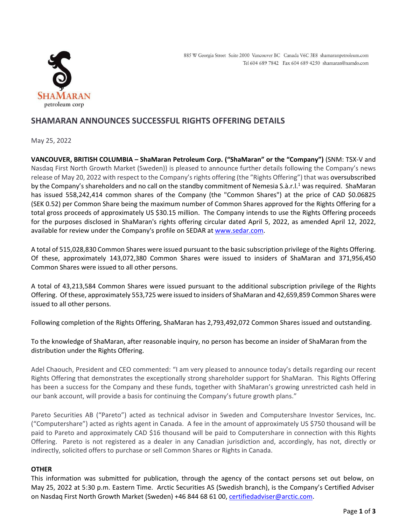

# **SHAMARAN ANNOUNCES SUCCESSFUL RIGHTS OFFERING DETAILS**

May 25, 2022

**VANCOUVER, BRITISH COLUMBIA – ShaMaran Petroleum Corp. ("ShaMaran" or the "Company")** (SNM: TSX‐V and Nasdaq First North Growth Market (Sweden)) is pleased to announce further details following the Company's news release of May 20, 2022 with respect to the Company's rights offering (the "Rights Offering") that was oversubscribed by the Company's shareholders and no call on the standby commitment of Nemesia S.à.r.l.<sup>1</sup> was required. ShaMaran has issued 558,242,414 common shares of the Company (the "Common Shares") at the price of CAD \$0.06825 (SEK 0.52) per Common Share being the maximum number of Common Shares approved for the Rights Offering for a total gross proceeds of approximately US \$30.15 million. The Company intends to use the Rights Offering proceeds for the purposes disclosed in ShaMaran's rights offering circular dated April 5, 2022, as amended April 12, 2022, available for review under the Company's profile on SEDAR at www.sedar.com.

A total of 515,028,830 Common Shares were issued pursuant to the basic subscription privilege of the Rights Offering. Of these, approximately 143,072,380 Common Shares were issued to insiders of ShaMaran and 371,956,450 Common Shares were issued to all other persons.

A total of 43,213,584 Common Shares were issued pursuant to the additional subscription privilege of the Rights Offering. Of these, approximately 553,725 were issued to insiders of ShaMaran and 42,659,859 Common Shares were issued to all other persons.

Following completion of the Rights Offering, ShaMaran has 2,793,492,072 Common Shares issued and outstanding.

To the knowledge of ShaMaran, after reasonable inquiry, no person has become an insider of ShaMaran from the distribution under the Rights Offering.

Adel Chaouch, President and CEO commented: "I am very pleased to announce today's details regarding our recent Rights Offering that demonstrates the exceptionally strong shareholder support for ShaMaran. This Rights Offering has been a success for the Company and these funds, together with ShaMaran's growing unrestricted cash held in our bank account, will provide a basis for continuing the Company's future growth plans."

Pareto Securities AB ("Pareto") acted as technical advisor in Sweden and Computershare Investor Services, Inc. ("Computershare") acted as rights agent in Canada. A fee in the amount of approximately US \$750 thousand will be paid to Pareto and approximately CAD \$16 thousand will be paid to Computershare in connection with this Rights Offering. Pareto is not registered as a dealer in any Canadian jurisdiction and, accordingly, has not, directly or indirectly, solicited offers to purchase or sell Common Shares or Rights in Canada.

# **OTHER**

This information was submitted for publication, through the agency of the contact persons set out below, on May 25, 2022 at 5:30 p.m. Eastern Time. Arctic Securities AS (Swedish branch), is the Company's Certified Adviser on Nasdaq First North Growth Market (Sweden) +46 844 68 61 00, certifiedadviser@arctic.com.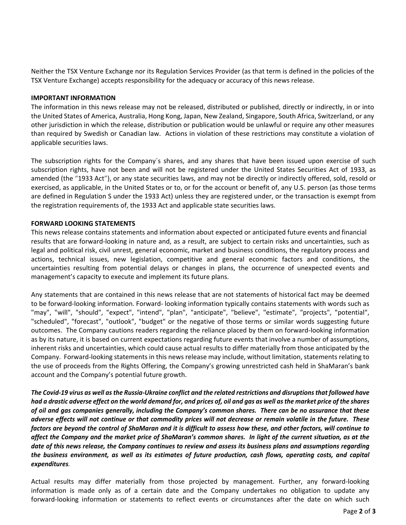Neither the TSX Venture Exchange nor its Regulation Services Provider (as that term is defined in the policies of the TSX Venture Exchange) accepts responsibility for the adequacy or accuracy of this news release.

### **IMPORTANT INFORMATION**

The information in this news release may not be released, distributed or published, directly or indirectly, in or into the United States of America, Australia, Hong Kong, Japan, New Zealand, Singapore, South Africa, Switzerland, or any other jurisdiction in which the release, distribution or publication would be unlawful or require any other measures than required by Swedish or Canadian law. Actions in violation of these restrictions may constitute a violation of applicable securities laws.

The subscription rights for the Company´s shares, and any shares that have been issued upon exercise of such subscription rights, have not been and will not be registered under the United States Securities Act of 1933, as amended (the "1933 Act"), or any state securities laws, and may not be directly or indirectly offered, sold, resold or exercised, as applicable, in the United States or to, or for the account or benefit of, any U.S. person (as those terms are defined in Regulation S under the 1933 Act) unless they are registered under, or the transaction is exempt from the registration requirements of, the 1933 Act and applicable state securities laws.

#### **FORWARD LOOKING STATEMENTS**

This news release contains statements and information about expected or anticipated future events and financial results that are forward‐looking in nature and, as a result, are subject to certain risks and uncertainties, such as legal and political risk, civil unrest, general economic, market and business conditions, the regulatory process and actions, technical issues, new legislation, competitive and general economic factors and conditions, the uncertainties resulting from potential delays or changes in plans, the occurrence of unexpected events and management's capacity to execute and implement its future plans.

Any statements that are contained in this news release that are not statements of historical fact may be deemed to be forward‐looking information. Forward‐ looking information typically contains statements with words such as "may", "will", "should", "expect", "intend", "plan", "anticipate", "believe", "estimate", "projects", "potential", "scheduled", "forecast", "outlook", "budget" or the negative of those terms or similar words suggesting future outcomes. The Company cautions readers regarding the reliance placed by them on forward‐looking information as by its nature, it is based on current expectations regarding future events that involve a number of assumptions, inherent risks and uncertainties, which could cause actual results to differ materially from those anticipated by the Company. Forward‐looking statements in this news release may include, without limitation, statements relating to the use of proceeds from the Rights Offering, the Company's growing unrestricted cash held in ShaMaran's bank account and the Company's potential future growth.

The Covid-19 virus as well as the Russia-Ukraine conflict and the related restrictions and disruptions that followed have had a drastic adverse effect on the world demand for, and prices of, oil and gas as well as the market price of the shares of oil and gas companies generally, including the Company's common shares. There can be no assurance that these adverse effects will not continue or that commodity prices will not decrease or remain volatile in the future. These factors are beyond the control of ShaMaran and it is difficult to assess how these, and other factors, will continue to affect the Company and the market price of ShaMaran's common shares. In light of the current situation, as at the date of this news release, the Company continues to review and assess its business plans and assumptions regarding the business environment, as well as its estimates of future production, cash flows, operating costs, and capital *expenditures.*

Actual results may differ materially from those projected by management. Further, any forward‐looking information is made only as of a certain date and the Company undertakes no obligation to update any forward‐looking information or statements to reflect events or circumstances after the date on which such